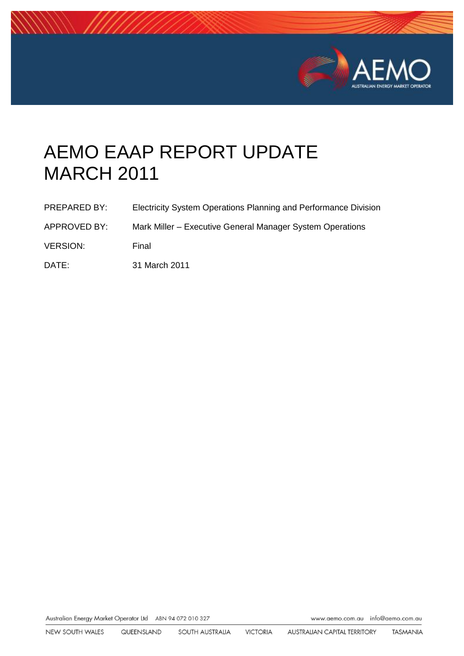

# AEMO EAAP REPORT UPDATE MARCH 2011

| <b>PREPARED BY:</b> | Electricity System Operations Planning and Performance Division |
|---------------------|-----------------------------------------------------------------|
| APPROVED BY:        | Mark Miller – Executive General Manager System Operations       |
| <b>VERSION:</b>     | Final                                                           |
| DATE:               | 31 March 2011                                                   |

Australian Energy Market Operator Ltd ABN 94 072 010 327

www.aemo.com.au info@aemo.com.au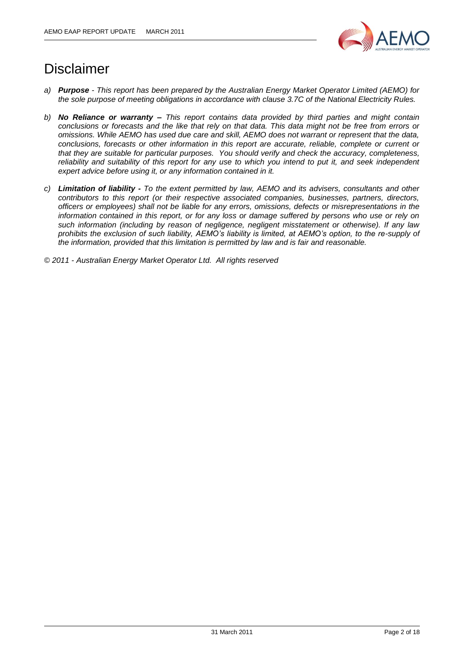

## Disclaimer

- *a) Purpose - This report has been prepared by the Australian Energy Market Operator Limited (AEMO) for the sole purpose of meeting obligations in accordance with clause 3.7C of the National Electricity Rules.*
- *b) No Reliance or warranty – This report contains data provided by third parties and might contain conclusions or forecasts and the like that rely on that data. This data might not be free from errors or omissions. While AEMO has used due care and skill, AEMO does not warrant or represent that the data, conclusions, forecasts or other information in this report are accurate, reliable, complete or current or that they are suitable for particular purposes. You should verify and check the accuracy, completeness, reliability and suitability of this report for any use to which you intend to put it, and seek independent expert advice before using it, or any information contained in it.*
- *c) Limitation of liability - To the extent permitted by law, AEMO and its advisers, consultants and other contributors to this report (or their respective associated companies, businesses, partners, directors, officers or employees) shall not be liable for any errors, omissions, defects or misrepresentations in the information contained in this report, or for any loss or damage suffered by persons who use or rely on such information (including by reason of negligence, negligent misstatement or otherwise). If any law prohibits the exclusion of such liability, AEMO's liability is limited, at AEMO's option, to the re-supply of the information, provided that this limitation is permitted by law and is fair and reasonable.*

*© 2011 - Australian Energy Market Operator Ltd. All rights reserved*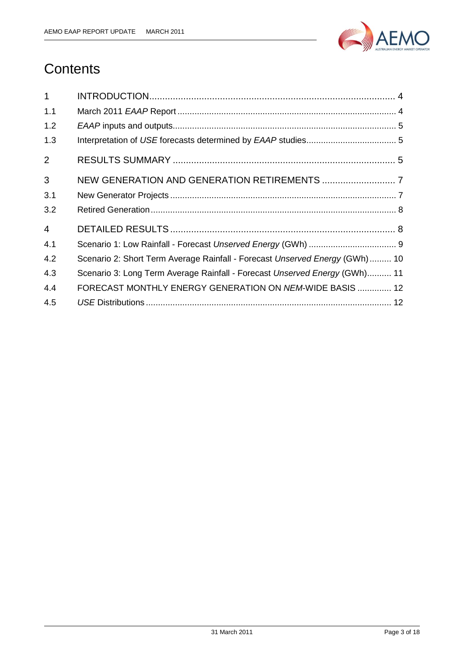

## **Contents**

| $\mathbf{1}$   |                                                                             |
|----------------|-----------------------------------------------------------------------------|
| 1.1            |                                                                             |
| 1.2            |                                                                             |
| 1.3            |                                                                             |
| $\overline{2}$ |                                                                             |
| 3              |                                                                             |
| 3.1            |                                                                             |
| 3.2            |                                                                             |
| $\overline{4}$ |                                                                             |
| 4.1            |                                                                             |
| 4.2            | Scenario 2: Short Term Average Rainfall - Forecast Unserved Energy (GWh) 10 |
| 4.3            | Scenario 3: Long Term Average Rainfall - Forecast Unserved Energy (GWh) 11  |
| 4.4            | FORECAST MONTHLY ENERGY GENERATION ON NEM-WIDE BASIS  12                    |
| 4.5            |                                                                             |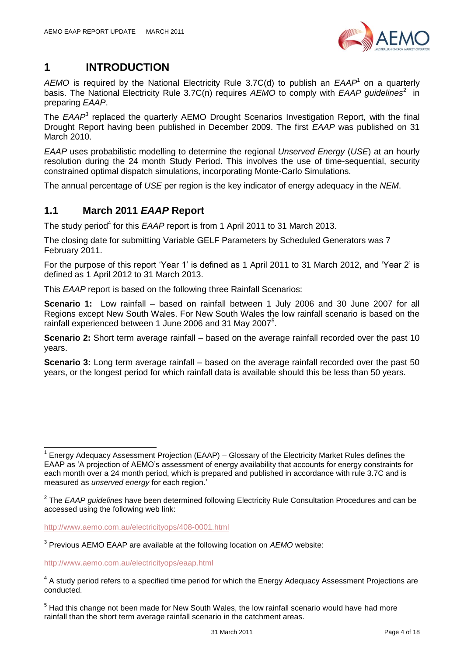

## <span id="page-3-0"></span>**1 INTRODUCTION**

AEMO is required by the National Electricity Rule 3.7C(d) to publish an EAAP<sup>1</sup> on a quarterly basis. The National Electricity Rule 3.7C(n) requires AEMO to comply with EAAP guidelines<sup>2</sup> in preparing *EAAP*.

The *EAAP*<sup>3</sup> replaced the quarterly AEMO Drought Scenarios Investigation Report, with the final Drought Report having been published in December 2009. The first *EAAP* was published on 31 March 2010.

*EAAP* uses probabilistic modelling to determine the regional *Unserved Energy* (*USE*) at an hourly resolution during the 24 month Study Period. This involves the use of time-sequential, security constrained optimal dispatch simulations, incorporating Monte-Carlo Simulations.

The annual percentage of *USE* per region is the key indicator of energy adequacy in the *NEM*.

#### <span id="page-3-1"></span>**1.1 March 2011** *EAAP* **Report**

The study period<sup>4</sup> for this *EAAP* report is from 1 April 2011 to 31 March 2013.

The closing date for submitting Variable GELF Parameters by Scheduled Generators was 7 February 2011.

For the purpose of this report "Year 1" is defined as 1 April 2011 to 31 March 2012, and "Year 2" is defined as 1 April 2012 to 31 March 2013.

This *EAAP* report is based on the following three Rainfall Scenarios:

**Scenario 1:** Low rainfall – based on rainfall between 1 July 2006 and 30 June 2007 for all Regions except New South Wales. For New South Wales the low rainfall scenario is based on the rainfall experienced between 1 June 2006 and 31 May 2007<sup>5</sup>.

**Scenario 2:** Short term average rainfall – based on the average rainfall recorded over the past 10 years.

**Scenario 3:** Long term average rainfall – based on the average rainfall recorded over the past 50 years, or the longest period for which rainfall data is available should this be less than 50 years.

<http://www.aemo.com.au/electricityops/408-0001.html>

3 Previous AEMO EAAP are available at the following location on *AEMO* website:

<http://www.aemo.com.au/electricityops/eaap.html>

-

<sup>1</sup> Energy Adequacy Assessment Projection (EAAP) – Glossary of the Electricity Market Rules defines the EAAP as 'A projection of AEMO's assessment of energy availability that accounts for energy constraints for each month over a 24 month period, which is prepared and published in accordance with rule 3.7C and is measured as *unserved energy* for each region."

<sup>2</sup> The *EAAP guidelines* have been determined following Electricity Rule Consultation Procedures and can be accessed using the following web link:

 $4$  A study period refers to a specified time period for which the Energy Adequacy Assessment Projections are conducted.

 $<sup>5</sup>$  Had this change not been made for New South Wales, the low rainfall scenario would have had more</sup> rainfall than the short term average rainfall scenario in the catchment areas.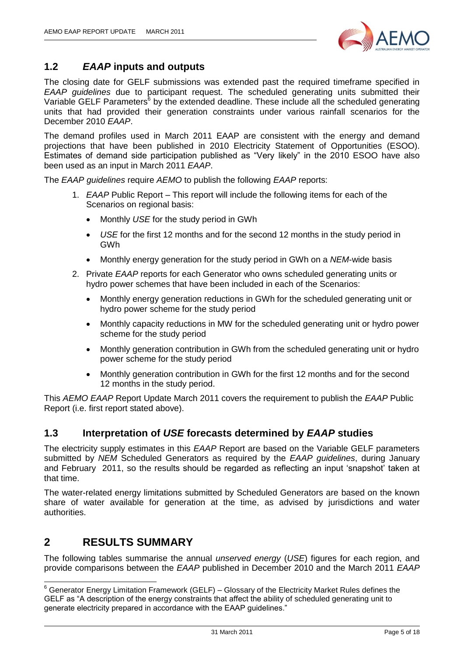

#### <span id="page-4-0"></span>**1.2** *EAAP* **inputs and outputs**

The closing date for GELF submissions was extended past the required timeframe specified in *EAAP guidelines* due to participant request. The scheduled generating units submitted their Variable GELF Parameters<sup>6</sup> by the extended deadline. These include all the scheduled generating units that had provided their generation constraints under various rainfall scenarios for the December 2010 *EAAP*.

The demand profiles used in March 2011 EAAP are consistent with the energy and demand projections that have been published in 2010 Electricity Statement of Opportunities (ESOO). Estimates of demand side participation published as "Very likely" in the 2010 ESOO have also been used as an input in March 2011 *EAAP*.

The *EAAP guidelines* require *AEMO* to publish the following *EAAP* reports:

- 1. *EAAP* Public Report This report will include the following items for each of the Scenarios on regional basis:
	- Monthly *USE* for the study period in GWh
	- *USE* for the first 12 months and for the second 12 months in the study period in GWh
	- Monthly energy generation for the study period in GWh on a *NEM*-wide basis
- 2. Private *EAAP* reports for each Generator who owns scheduled generating units or hydro power schemes that have been included in each of the Scenarios:
	- Monthly energy generation reductions in GWh for the scheduled generating unit or hydro power scheme for the study period
	- Monthly capacity reductions in MW for the scheduled generating unit or hydro power scheme for the study period
	- Monthly generation contribution in GWh from the scheduled generating unit or hydro power scheme for the study period
	- Monthly generation contribution in GWh for the first 12 months and for the second 12 months in the study period.

This *AEMO EAAP* Report Update March 2011 covers the requirement to publish the *EAAP* Public Report (i.e. first report stated above).

#### <span id="page-4-1"></span>**1.3 Interpretation of** *USE* **forecasts determined by** *EAAP* **studies**

The electricity supply estimates in this *EAAP* Report are based on the Variable GELF parameters submitted by *NEM* Scheduled Generators as required by the *EAAP guidelines*, during January and February 2011, so the results should be regarded as reflecting an input "snapshot" taken at that time.

The water-related energy limitations submitted by Scheduled Generators are based on the known share of water available for generation at the time, as advised by jurisdictions and water authorities.

## <span id="page-4-2"></span>**2 RESULTS SUMMARY**

-

The following tables summarise the annual *unserved energy* (*USE*) figures for each region, and provide comparisons between the *EAAP* published in December 2010 and the March 2011 *EAAP*

 $6$  Generator Energy Limitation Framework (GELF) – Glossary of the Electricity Market Rules defines the GELF as "A description of the energy constraints that affect the ability of scheduled generating unit to generate electricity prepared in accordance with the EAAP guidelines."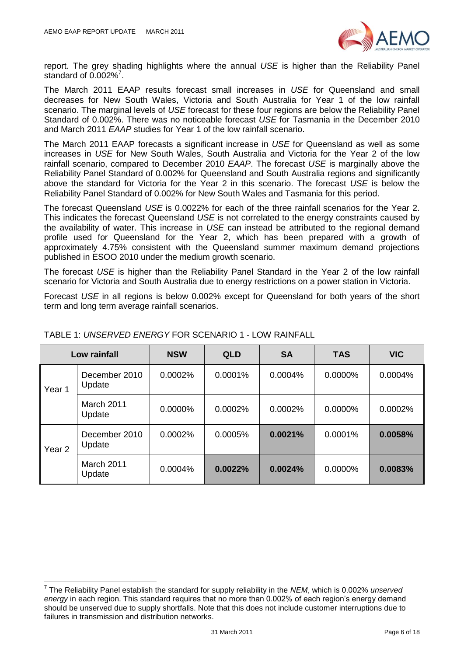

report. The grey shading highlights where the annual *USE* is higher than the Reliability Panel standard of  $0.002\%$ <sup>7</sup>.

The March 2011 EAAP results forecast small increases in *USE* for Queensland and small decreases for New South Wales, Victoria and South Australia for Year 1 of the low rainfall scenario. The marginal levels of *USE* forecast for these four regions are below the Reliability Panel Standard of 0.002%. There was no noticeable forecast *USE* for Tasmania in the December 2010 and March 2011 *EAAP* studies for Year 1 of the low rainfall scenario.

The March 2011 EAAP forecasts a significant increase in *USE* for Queensland as well as some increases in *USE* for New South Wales, South Australia and Victoria for the Year 2 of the low rainfall scenario, compared to December 2010 *EAAP*. The forecast *USE* is marginally above the Reliability Panel Standard of 0.002% for Queensland and South Australia regions and significantly above the standard for Victoria for the Year 2 in this scenario. The forecast *USE* is below the Reliability Panel Standard of 0.002% for New South Wales and Tasmania for this period.

The forecast Queensland *USE* is 0.0022% for each of the three rainfall scenarios for the Year 2. This indicates the forecast Queensland *USE* is not correlated to the energy constraints caused by the availability of water. This increase in *USE* can instead be attributed to the regional demand profile used for Queensland for the Year 2, which has been prepared with a growth of approximately 4.75% consistent with the Queensland summer maximum demand projections published in ESOO 2010 under the medium growth scenario.

The forecast *USE* is higher than the Reliability Panel Standard in the Year 2 of the low rainfall scenario for Victoria and South Australia due to energy restrictions on a power station in Victoria.

Forecast *USE* in all regions is below 0.002% except for Queensland for both years of the short term and long term average rainfall scenarios.

|                   | Low rainfall            | <b>NSW</b> | <b>QLD</b> | <b>SA</b> | <b>TAS</b> | <b>VIC</b> |
|-------------------|-------------------------|------------|------------|-----------|------------|------------|
| Year 1            | December 2010<br>Update | 0.0002%    | $0.0001\%$ | 0.0004%   | 0.0000%    | 0.0004%    |
|                   | March 2011<br>Update    | $0.0000\%$ | 0.0002%    | 0.0002%   | $0.0000\%$ | 0.0002%    |
| Year <sub>2</sub> | December 2010<br>Update | 0.0002%    | 0.0005%    | 0.0021%   | 0.0001%    | 0.0058%    |
|                   | March 2011<br>Update    | 0.0004%    | 0.0022%    | 0.0024%   | 0.0000%    | 0.0083%    |

#### TABLE 1: *UNSERVED ENERGY* FOR SCENARIO 1 - LOW RAINFALL

 7 The Reliability Panel establish the standard for supply reliability in the *NEM*, which is 0.002% *unserved energy* in each region. This standard requires that no more than 0.002% of each region"s energy demand should be unserved due to supply shortfalls. Note that this does not include customer interruptions due to failures in transmission and distribution networks.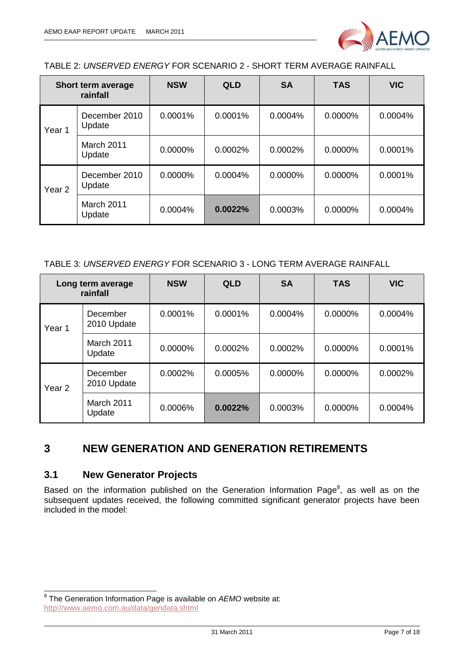

#### TABLE 2: *UNSERVED ENERGY* FOR SCENARIO 2 - SHORT TERM AVERAGE RAINFALL

|                   | Short term average<br>rainfall | <b>NSW</b> | <b>QLD</b> | <b>SA</b> | <b>TAS</b> | <b>VIC</b> |
|-------------------|--------------------------------|------------|------------|-----------|------------|------------|
| Year 1            | December 2010<br>Update        | 0.0001%    | 0.0001%    | 0.0004%   | $0.0000\%$ | 0.0004%    |
|                   | March 2011<br>Update           | 0.0000%    | 0.0002%    | 0.0002%   | 0.0000%    | 0.0001%    |
| Year <sub>2</sub> | December 2010<br>Update        | 0.0000%    | 0.0004%    | 0.0000%   | 0.0000%    | 0.0001%    |
|                   | March 2011<br>Update           | 0.0004%    | 0.0022%    | 0.0003%   | 0.0000%    | 0.0004%    |

#### TABLE 3: *UNSERVED ENERGY* FOR SCENARIO 3 - LONG TERM AVERAGE RAINFALL

|                   | Long term average<br>rainfall | <b>NSW</b> | <b>QLD</b> | <b>SA</b>  | <b>TAS</b> | <b>VIC</b> |
|-------------------|-------------------------------|------------|------------|------------|------------|------------|
| Year 1            | December<br>2010 Update       | 0.0001%    | 0.0001%    | 0.0004%    | 0.0000%    | 0.0004%    |
|                   | <b>March 2011</b><br>Update   | 0.0000%    | 0.0002%    | 0.0002%    | 0.0000%    | 0.0001%    |
| Year <sub>2</sub> | December<br>2010 Update       | 0.0002%    | 0.0005%    | $0.0000\%$ | $0.0000\%$ | 0.0002%    |
|                   | <b>March 2011</b><br>Update   | 0.0006%    | 0.0022%    | 0.0003%    | 0.0000%    | 0.0004%    |

### <span id="page-6-0"></span>**3 NEW GENERATION AND GENERATION RETIREMENTS**

#### <span id="page-6-1"></span>**3.1 New Generator Projects**

Based on the information published on the Generation Information Page $^8$ , as well as on the subsequent updates received, the following committed significant generator projects have been included in the model:

 8 The Generation Information Page is available on *AEMO* website at: <http://www.aemo.com.au/data/gendata.shtml>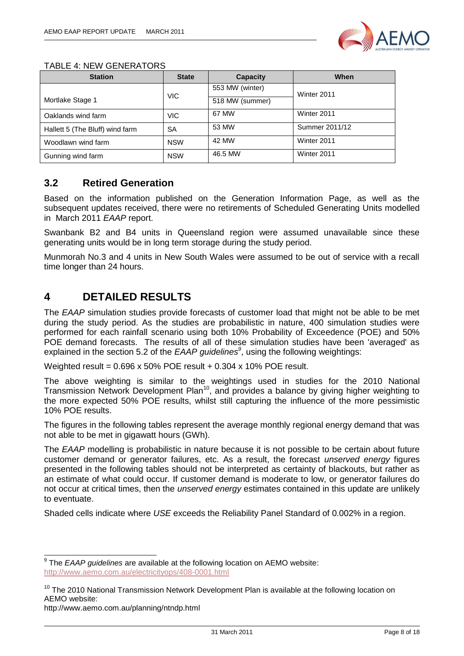

| <b>Station</b>                  | <b>State</b> | Capacity        | When           |
|---------------------------------|--------------|-----------------|----------------|
|                                 |              | 553 MW (winter) | Winter 2011    |
| Mortlake Stage 1                | <b>VIC</b>   | 518 MW (summer) |                |
| Oaklands wind farm              | <b>VIC</b>   | 67 MW           | Winter 2011    |
| Hallett 5 (The Bluff) wind farm | SА           | 53 MW           | Summer 2011/12 |
| Woodlawn wind farm              | <b>NSW</b>   | 42 MW           | Winter 2011    |
| Gunning wind farm               | <b>NSW</b>   | 46.5 MW         | Winter 2011    |

#### <span id="page-7-0"></span>**3.2 Retired Generation**

Based on the information published on the Generation Information Page, as well as the subsequent updates received, there were no retirements of Scheduled Generating Units modelled in March 2011 *EAAP* report.

Swanbank B2 and B4 units in Queensland region were assumed unavailable since these generating units would be in long term storage during the study period.

Munmorah No.3 and 4 units in New South Wales were assumed to be out of service with a recall time longer than 24 hours.

## <span id="page-7-1"></span>**4 DETAILED RESULTS**

The *EAAP* simulation studies provide forecasts of customer load that might not be able to be met during the study period. As the studies are probabilistic in nature, 400 simulation studies were performed for each rainfall scenario using both 10% Probability of Exceedence (POE) and 50% POE demand forecasts. The results of all of these simulation studies have been 'averaged' as explained in the section 5.2 of the *EAAP guidelines<sup>9</sup>* , using the following weightings:

Weighted result = 0.696 x 50% POE result + 0.304 x 10% POE result.

The above weighting is similar to the weightings used in studies for the 2010 National Transmission Network Development Plan<sup>10</sup>, and provides a balance by giving higher weighting to the more expected 50% POE results, whilst still capturing the influence of the more pessimistic 10% POE results.

The figures in the following tables represent the average monthly regional energy demand that was not able to be met in gigawatt hours (GWh).

The *EAAP* modelling is probabilistic in nature because it is not possible to be certain about future customer demand or generator failures, etc. As a result, the forecast *unserved energy* figures presented in the following tables should not be interpreted as certainty of blackouts, but rather as an estimate of what could occur. If customer demand is moderate to low, or generator failures do not occur at critical times, then the *unserved energy* estimates contained in this update are unlikely to eventuate.

Shaded cells indicate where *USE* exceeds the Reliability Panel Standard of 0.002% in a region.

 9 The *EAAP guidelines* are available at the following location on AEMO website: <http://www.aemo.com.au/electricityops/408-0001.html>

 $10$  The 2010 National Transmission Network Development Plan is available at the following location on AEMO website:

http://www.aemo.com.au/planning/ntndp.html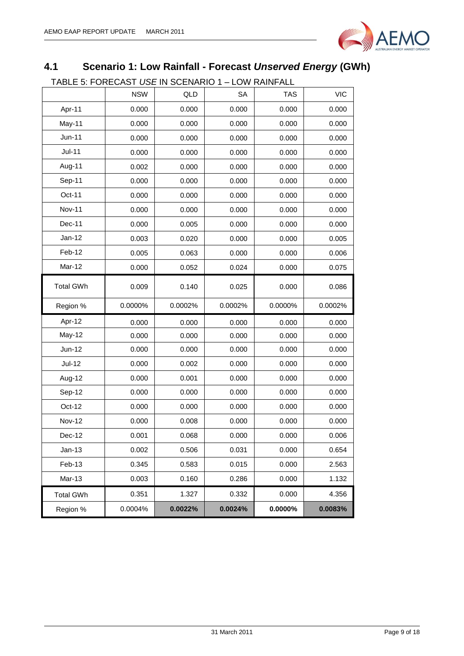

## <span id="page-8-0"></span>**4.1 Scenario 1: Low Rainfall - Forecast** *Unserved Energy* **(GWh)**

TABLE 5: FORECAST *USE* IN SCENARIO 1 – LOW RAINFALL

| <b>NSW</b><br>QLD<br><b>SA</b><br><b>TAS</b><br>Apr-11<br>0.000<br>0.000<br>0.000<br>0.000<br>May-11<br>0.000<br>0.000<br>0.000<br>0.000<br><b>Jun-11</b><br>0.000<br>0.000<br>0.000<br>0.000<br><b>Jul-11</b><br>0.000<br>0.000<br>0.000<br>0.000<br>Aug-11<br>0.002<br>0.000<br>0.000<br>0.000<br>Sep-11<br>0.000<br>0.000<br>0.000<br>0.000<br>Oct-11<br>0.000<br>0.000<br>0.000<br>0.000<br><b>Nov-11</b><br>0.000<br>0.000<br>0.000<br>0.000<br>Dec-11<br>0.000<br>0.000<br>0.005<br>0.000<br>$Jan-12$<br>0.003<br>0.020<br>0.000<br>0.000<br>Feb-12<br>0.005<br>0.063<br>0.000<br>0.000<br>Mar-12<br>0.000<br>0.052<br>0.024<br>0.000<br><b>Total GWh</b><br>0.000<br>0.009<br>0.140<br>0.025<br>Region %<br>0.0000%<br>0.0002%<br>0.0002%<br>0.0000%<br>Apr-12<br>0.000<br>0.000<br>0.000<br>0.000<br>May-12<br>0.000<br>0.000<br>0.000<br>0.000<br><b>Jun-12</b><br>0.000<br>0.000<br>0.000<br>0.000<br>$Jul-12$<br>0.000<br>0.002<br>0.000<br>0.000<br>Aug-12<br>0.000<br>0.001<br>0.000<br>0.000<br>Sep-12<br>0.000<br>0.000<br>0.000<br>0.000<br>Oct-12<br>0.000<br>0.000<br>0.000<br>0.000<br><b>Nov-12</b><br>0.000<br>0.000<br>0.008<br>0.000<br>Dec-12<br>0.001<br>0.068<br>0.000<br>0.000<br>$Jan-13$<br>0.002<br>0.506<br>0.031<br>0.000<br>Feb-13<br>0.345<br>0.583<br>0.015<br>0.000<br>Mar-13<br>0.003<br>0.160<br>0.286<br>0.000<br>0.351<br>1.327<br>0.332<br>0.000<br><b>Total GWh</b><br>0.0024%<br>0.0000%<br>0.0004%<br>0.0022%<br>Region % |  |  |            |
|-----------------------------------------------------------------------------------------------------------------------------------------------------------------------------------------------------------------------------------------------------------------------------------------------------------------------------------------------------------------------------------------------------------------------------------------------------------------------------------------------------------------------------------------------------------------------------------------------------------------------------------------------------------------------------------------------------------------------------------------------------------------------------------------------------------------------------------------------------------------------------------------------------------------------------------------------------------------------------------------------------------------------------------------------------------------------------------------------------------------------------------------------------------------------------------------------------------------------------------------------------------------------------------------------------------------------------------------------------------------------------------------------------------------------------------------------------------------------|--|--|------------|
|                                                                                                                                                                                                                                                                                                                                                                                                                                                                                                                                                                                                                                                                                                                                                                                                                                                                                                                                                                                                                                                                                                                                                                                                                                                                                                                                                                                                                                                                       |  |  | <b>VIC</b> |
|                                                                                                                                                                                                                                                                                                                                                                                                                                                                                                                                                                                                                                                                                                                                                                                                                                                                                                                                                                                                                                                                                                                                                                                                                                                                                                                                                                                                                                                                       |  |  | 0.000      |
|                                                                                                                                                                                                                                                                                                                                                                                                                                                                                                                                                                                                                                                                                                                                                                                                                                                                                                                                                                                                                                                                                                                                                                                                                                                                                                                                                                                                                                                                       |  |  | 0.000      |
|                                                                                                                                                                                                                                                                                                                                                                                                                                                                                                                                                                                                                                                                                                                                                                                                                                                                                                                                                                                                                                                                                                                                                                                                                                                                                                                                                                                                                                                                       |  |  | 0.000      |
|                                                                                                                                                                                                                                                                                                                                                                                                                                                                                                                                                                                                                                                                                                                                                                                                                                                                                                                                                                                                                                                                                                                                                                                                                                                                                                                                                                                                                                                                       |  |  | 0.000      |
|                                                                                                                                                                                                                                                                                                                                                                                                                                                                                                                                                                                                                                                                                                                                                                                                                                                                                                                                                                                                                                                                                                                                                                                                                                                                                                                                                                                                                                                                       |  |  | 0.000      |
|                                                                                                                                                                                                                                                                                                                                                                                                                                                                                                                                                                                                                                                                                                                                                                                                                                                                                                                                                                                                                                                                                                                                                                                                                                                                                                                                                                                                                                                                       |  |  | 0.000      |
|                                                                                                                                                                                                                                                                                                                                                                                                                                                                                                                                                                                                                                                                                                                                                                                                                                                                                                                                                                                                                                                                                                                                                                                                                                                                                                                                                                                                                                                                       |  |  | 0.000      |
|                                                                                                                                                                                                                                                                                                                                                                                                                                                                                                                                                                                                                                                                                                                                                                                                                                                                                                                                                                                                                                                                                                                                                                                                                                                                                                                                                                                                                                                                       |  |  | 0.000      |
|                                                                                                                                                                                                                                                                                                                                                                                                                                                                                                                                                                                                                                                                                                                                                                                                                                                                                                                                                                                                                                                                                                                                                                                                                                                                                                                                                                                                                                                                       |  |  | 0.000      |
|                                                                                                                                                                                                                                                                                                                                                                                                                                                                                                                                                                                                                                                                                                                                                                                                                                                                                                                                                                                                                                                                                                                                                                                                                                                                                                                                                                                                                                                                       |  |  | 0.005      |
|                                                                                                                                                                                                                                                                                                                                                                                                                                                                                                                                                                                                                                                                                                                                                                                                                                                                                                                                                                                                                                                                                                                                                                                                                                                                                                                                                                                                                                                                       |  |  | 0.006      |
|                                                                                                                                                                                                                                                                                                                                                                                                                                                                                                                                                                                                                                                                                                                                                                                                                                                                                                                                                                                                                                                                                                                                                                                                                                                                                                                                                                                                                                                                       |  |  | 0.075      |
|                                                                                                                                                                                                                                                                                                                                                                                                                                                                                                                                                                                                                                                                                                                                                                                                                                                                                                                                                                                                                                                                                                                                                                                                                                                                                                                                                                                                                                                                       |  |  | 0.086      |
|                                                                                                                                                                                                                                                                                                                                                                                                                                                                                                                                                                                                                                                                                                                                                                                                                                                                                                                                                                                                                                                                                                                                                                                                                                                                                                                                                                                                                                                                       |  |  | 0.0002%    |
|                                                                                                                                                                                                                                                                                                                                                                                                                                                                                                                                                                                                                                                                                                                                                                                                                                                                                                                                                                                                                                                                                                                                                                                                                                                                                                                                                                                                                                                                       |  |  | 0.000      |
|                                                                                                                                                                                                                                                                                                                                                                                                                                                                                                                                                                                                                                                                                                                                                                                                                                                                                                                                                                                                                                                                                                                                                                                                                                                                                                                                                                                                                                                                       |  |  | 0.000      |
|                                                                                                                                                                                                                                                                                                                                                                                                                                                                                                                                                                                                                                                                                                                                                                                                                                                                                                                                                                                                                                                                                                                                                                                                                                                                                                                                                                                                                                                                       |  |  | 0.000      |
|                                                                                                                                                                                                                                                                                                                                                                                                                                                                                                                                                                                                                                                                                                                                                                                                                                                                                                                                                                                                                                                                                                                                                                                                                                                                                                                                                                                                                                                                       |  |  | 0.000      |
|                                                                                                                                                                                                                                                                                                                                                                                                                                                                                                                                                                                                                                                                                                                                                                                                                                                                                                                                                                                                                                                                                                                                                                                                                                                                                                                                                                                                                                                                       |  |  | 0.000      |
|                                                                                                                                                                                                                                                                                                                                                                                                                                                                                                                                                                                                                                                                                                                                                                                                                                                                                                                                                                                                                                                                                                                                                                                                                                                                                                                                                                                                                                                                       |  |  | 0.000      |
|                                                                                                                                                                                                                                                                                                                                                                                                                                                                                                                                                                                                                                                                                                                                                                                                                                                                                                                                                                                                                                                                                                                                                                                                                                                                                                                                                                                                                                                                       |  |  | 0.000      |
|                                                                                                                                                                                                                                                                                                                                                                                                                                                                                                                                                                                                                                                                                                                                                                                                                                                                                                                                                                                                                                                                                                                                                                                                                                                                                                                                                                                                                                                                       |  |  | 0.000      |
|                                                                                                                                                                                                                                                                                                                                                                                                                                                                                                                                                                                                                                                                                                                                                                                                                                                                                                                                                                                                                                                                                                                                                                                                                                                                                                                                                                                                                                                                       |  |  | 0.006      |
|                                                                                                                                                                                                                                                                                                                                                                                                                                                                                                                                                                                                                                                                                                                                                                                                                                                                                                                                                                                                                                                                                                                                                                                                                                                                                                                                                                                                                                                                       |  |  | 0.654      |
|                                                                                                                                                                                                                                                                                                                                                                                                                                                                                                                                                                                                                                                                                                                                                                                                                                                                                                                                                                                                                                                                                                                                                                                                                                                                                                                                                                                                                                                                       |  |  | 2.563      |
|                                                                                                                                                                                                                                                                                                                                                                                                                                                                                                                                                                                                                                                                                                                                                                                                                                                                                                                                                                                                                                                                                                                                                                                                                                                                                                                                                                                                                                                                       |  |  | 1.132      |
|                                                                                                                                                                                                                                                                                                                                                                                                                                                                                                                                                                                                                                                                                                                                                                                                                                                                                                                                                                                                                                                                                                                                                                                                                                                                                                                                                                                                                                                                       |  |  | 4.356      |
|                                                                                                                                                                                                                                                                                                                                                                                                                                                                                                                                                                                                                                                                                                                                                                                                                                                                                                                                                                                                                                                                                                                                                                                                                                                                                                                                                                                                                                                                       |  |  | 0.0083%    |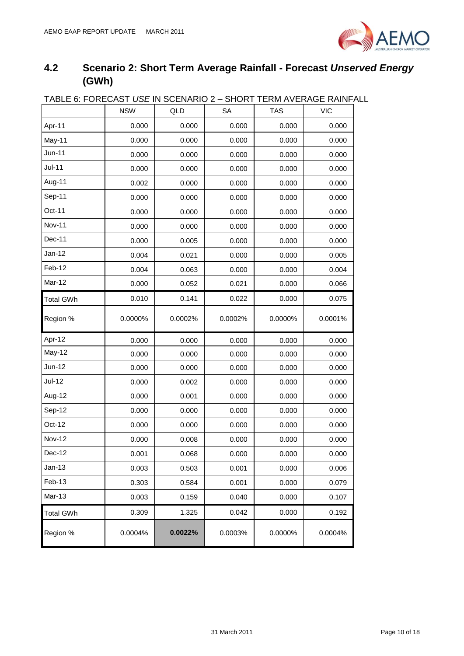

## <span id="page-9-0"></span>**4.2 Scenario 2: Short Term Average Rainfall - Forecast** *Unserved Energy* **(GWh)**

| <u> IADLE 0. FUNEUAST USE IN SUENANIU Z – SHUNT TENNI AVENAUE NAINFA</u> |            |         |           |            |            |
|--------------------------------------------------------------------------|------------|---------|-----------|------------|------------|
|                                                                          | <b>NSW</b> | QLD     | <b>SA</b> | <b>TAS</b> | <b>VIC</b> |
| Apr-11                                                                   | 0.000      | 0.000   | 0.000     | 0.000      | 0.000      |
| May-11                                                                   | 0.000      | 0.000   | 0.000     | 0.000      | 0.000      |
| Jun-11                                                                   | 0.000      | 0.000   | 0.000     | 0.000      | 0.000      |
| <b>Jul-11</b>                                                            | 0.000      | 0.000   | 0.000     | 0.000      | 0.000      |
| Aug-11                                                                   | 0.002      | 0.000   | 0.000     | 0.000      | 0.000      |
| Sep-11                                                                   | 0.000      | 0.000   | 0.000     | 0.000      | 0.000      |
| Oct-11                                                                   | 0.000      | 0.000   | 0.000     | 0.000      | 0.000      |
| <b>Nov-11</b>                                                            | 0.000      | 0.000   | 0.000     | 0.000      | 0.000      |
| Dec-11                                                                   | 0.000      | 0.005   | 0.000     | 0.000      | 0.000      |
| $Jan-12$                                                                 | 0.004      | 0.021   | 0.000     | 0.000      | 0.005      |
| Feb-12                                                                   | 0.004      | 0.063   | 0.000     | 0.000      | 0.004      |
| Mar-12                                                                   | 0.000      | 0.052   | 0.021     | 0.000      | 0.066      |
| <b>Total GWh</b>                                                         | 0.010      | 0.141   | 0.022     | 0.000      | 0.075      |
| Region %                                                                 | 0.0000%    | 0.0002% | 0.0002%   | 0.0000%    | 0.0001%    |
| Apr-12                                                                   | 0.000      | 0.000   | 0.000     | 0.000      | 0.000      |
| May-12                                                                   | 0.000      | 0.000   | 0.000     | 0.000      | 0.000      |
| Jun-12                                                                   | 0.000      | 0.000   | 0.000     | 0.000      | 0.000      |
| Jul-12                                                                   | 0.000      | 0.002   | 0.000     | 0.000      | 0.000      |
| Aug-12                                                                   | 0.000      | 0.001   | 0.000     | 0.000      | 0.000      |
| Sep-12                                                                   | 0.000      | 0.000   | 0.000     | 0.000      | 0.000      |
| Oct-12                                                                   | 0.000      | 0.000   | 0.000     | 0.000      | 0.000      |
| <b>Nov-12</b>                                                            | 0.000      | 0.008   | 0.000     | 0.000      | 0.000      |
| Dec-12                                                                   | 0.001      | 0.068   | 0.000     | 0.000      | 0.000      |
| $Jan-13$                                                                 | 0.003      | 0.503   | 0.001     | 0.000      | 0.006      |
| Feb-13                                                                   | 0.303      | 0.584   | 0.001     | 0.000      | 0.079      |
| Mar-13                                                                   | 0.003      | 0.159   | 0.040     | 0.000      | 0.107      |
| <b>Total GWh</b>                                                         | 0.309      | 1.325   | 0.042     | 0.000      | 0.192      |
| Region %                                                                 | 0.0004%    | 0.0022% | 0.0003%   | 0.0000%    | 0.0004%    |

## TABLE 6: FORECAST *USE* IN SCENARIO 2 – SHORT TERM AVERAGE RAINFALL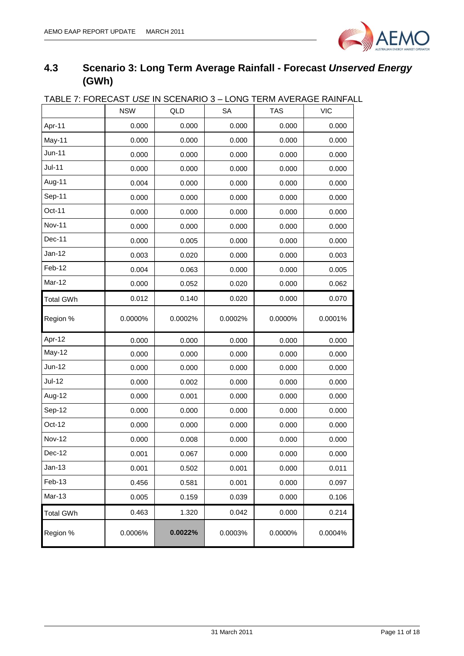

## <span id="page-10-0"></span>**4.3 Scenario 3: Long Term Average Rainfall - Forecast** *Unserved Energy* **(GWh)**

| TABLE 7: FORECAST <i>USE</i> IN SCENARIO 3 – LONG TERM AVERAGE RAINFAL |            |         |           |            |            |
|------------------------------------------------------------------------|------------|---------|-----------|------------|------------|
|                                                                        | <b>NSW</b> | QLD     | <b>SA</b> | <b>TAS</b> | <b>VIC</b> |
| Apr-11                                                                 | 0.000      | 0.000   | 0.000     | 0.000      | 0.000      |
| May-11                                                                 | 0.000      | 0.000   | 0.000     | 0.000      | 0.000      |
| <b>Jun-11</b>                                                          | 0.000      | 0.000   | 0.000     | 0.000      | 0.000      |
| <b>Jul-11</b>                                                          | 0.000      | 0.000   | 0.000     | 0.000      | 0.000      |
| Aug-11                                                                 | 0.004      | 0.000   | 0.000     | 0.000      | 0.000      |
| Sep-11                                                                 | 0.000      | 0.000   | 0.000     | 0.000      | 0.000      |
| Oct-11                                                                 | 0.000      | 0.000   | 0.000     | 0.000      | 0.000      |
| <b>Nov-11</b>                                                          | 0.000      | 0.000   | 0.000     | 0.000      | 0.000      |
| Dec-11                                                                 | 0.000      | 0.005   | 0.000     | 0.000      | 0.000      |
| Jan-12                                                                 | 0.003      | 0.020   | 0.000     | 0.000      | 0.003      |
| Feb-12                                                                 | 0.004      | 0.063   | 0.000     | 0.000      | 0.005      |
| Mar-12                                                                 | 0.000      | 0.052   | 0.020     | 0.000      | 0.062      |
| <b>Total GWh</b>                                                       | 0.012      | 0.140   | 0.020     | 0.000      | 0.070      |
| Region %                                                               | 0.0000%    | 0.0002% | 0.0002%   | 0.0000%    | 0.0001%    |
| Apr-12                                                                 | 0.000      | 0.000   | 0.000     | 0.000      | 0.000      |
| May-12                                                                 | 0.000      | 0.000   | 0.000     | 0.000      | 0.000      |
| Jun-12                                                                 | 0.000      | 0.000   | 0.000     | 0.000      | 0.000      |
| <b>Jul-12</b>                                                          | 0.000      | 0.002   | 0.000     | 0.000      | 0.000      |
| Aug-12                                                                 | 0.000      | 0.001   | 0.000     | 0.000      | 0.000      |
| Sep-12                                                                 | 0.000      | 0.000   | 0.000     | 0.000      | 0.000      |
| Oct-12                                                                 | 0.000      | 0.000   | 0.000     | 0.000      | 0.000      |
| <b>Nov-12</b>                                                          | 0.000      | 0.008   | 0.000     | 0.000      | 0.000      |
| Dec-12                                                                 | 0.001      | 0.067   | 0.000     | 0.000      | 0.000      |
| $Jan-13$                                                               | 0.001      | 0.502   | 0.001     | 0.000      | 0.011      |
| Feb-13                                                                 | 0.456      | 0.581   | 0.001     | 0.000      | 0.097      |
| Mar-13                                                                 | 0.005      | 0.159   | 0.039     | 0.000      | 0.106      |
| <b>Total GWh</b>                                                       | 0.463      | 1.320   | 0.042     | 0.000      | 0.214      |
| Region %                                                               | 0.0006%    | 0.0022% | 0.0003%   | 0.0000%    | 0.0004%    |

## TABLE 7: FORECAST *USE* IN SCENARIO 3 – LONG TERM AVERAGE RAINFALL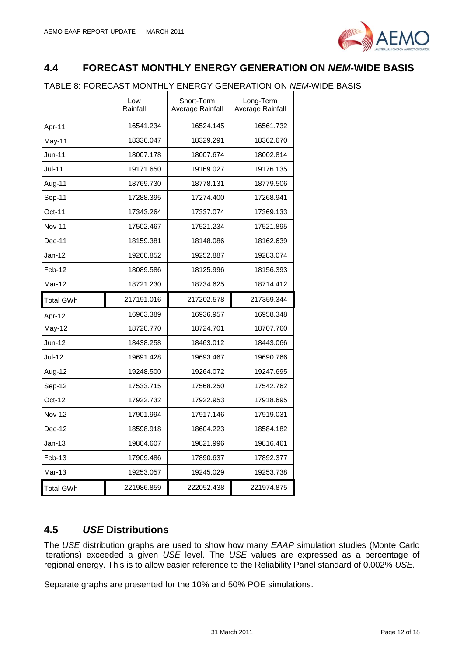

### <span id="page-11-0"></span>**4.4 FORECAST MONTHLY ENERGY GENERATION ON** *NEM***-WIDE BASIS**

#### TABLE 8: FORECAST MONTHLY ENERGY GENERATION ON *NEM*-WIDE BASIS

|               | Low<br>Rainfall | Short-Term<br>Average Rainfall | Long-Term<br>Average Rainfall |
|---------------|-----------------|--------------------------------|-------------------------------|
| Apr-11        | 16541.234       | 16524.145                      | 16561.732                     |
| May-11        | 18336.047       | 18329.291                      | 18362.670                     |
| $Jun-11$      | 18007.178       | 18007.674                      | 18002.814                     |
| Jul-11        | 19171.650       | 19169.027                      | 19176.135                     |
| Aug-11        | 18769.730       | 18778.131                      | 18779.506                     |
| Sep-11        | 17288.395       | 17274.400                      | 17268.941                     |
| Oct-11        | 17343.264       | 17337.074                      | 17369.133                     |
| <b>Nov-11</b> | 17502.467       | 17521.234                      | 17521.895                     |
| Dec-11        | 18159.381       | 18148.086                      | 18162.639                     |
| $Jan-12$      | 19260.852       | 19252.887                      | 19283.074                     |
| Feb-12        | 18089.586       | 18125.996                      | 18156.393                     |
| Mar-12        | 18721.230       | 18734.625                      | 18714.412                     |
|               |                 |                                |                               |
| Total GWh     | 217191.016      | 217202.578                     | 217359.344                    |
| Apr-12        | 16963.389       | 16936.957                      | 16958.348                     |
| May-12        | 18720.770       | 18724.701                      | 18707.760                     |
| Jun-12        | 18438.258       | 18463.012                      | 18443.066                     |
| Jul-12        | 19691.428       | 19693.467                      | 19690.766                     |
| Aug-12        | 19248.500       | 19264.072                      | 19247.695                     |
| Sep-12        | 17533.715       | 17568.250                      | 17542.762                     |
| Oct-12        | 17922.732       | 17922.953                      | 17918.695                     |
| <b>Nov-12</b> | 17901.994       | 17917.146                      | 17919.031                     |
| Dec-12        | 18598.918       | 18604.223                      | 18584.182                     |
| Jan-13        | 19804.607       | 19821.996                      | 19816.461                     |
| $Feb-13$      | 17909.486       | 17890.637                      | 17892.377                     |
| Mar-13        | 19253.057       | 19245.029                      | 19253.738                     |

#### <span id="page-11-1"></span>**4.5** *USE* **Distributions**

The *USE* distribution graphs are used to show how many *EAAP* simulation studies (Monte Carlo iterations) exceeded a given *USE* level. The *USE* values are expressed as a percentage of regional energy. This is to allow easier reference to the Reliability Panel standard of 0.002% *USE*.

Separate graphs are presented for the 10% and 50% POE simulations.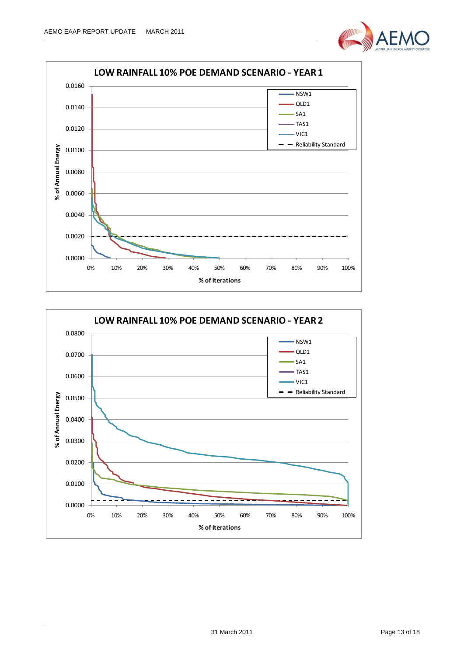



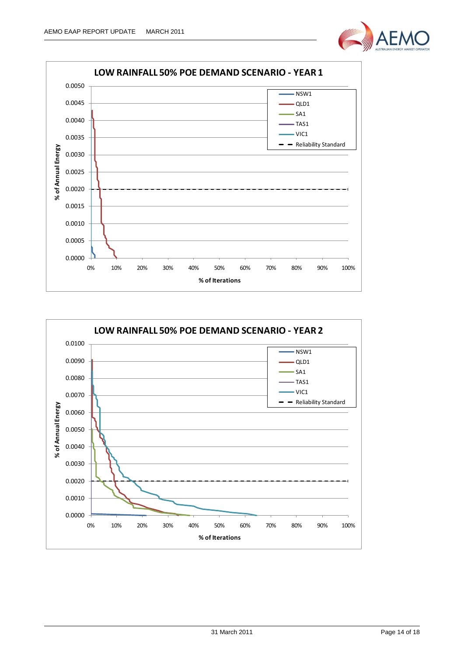



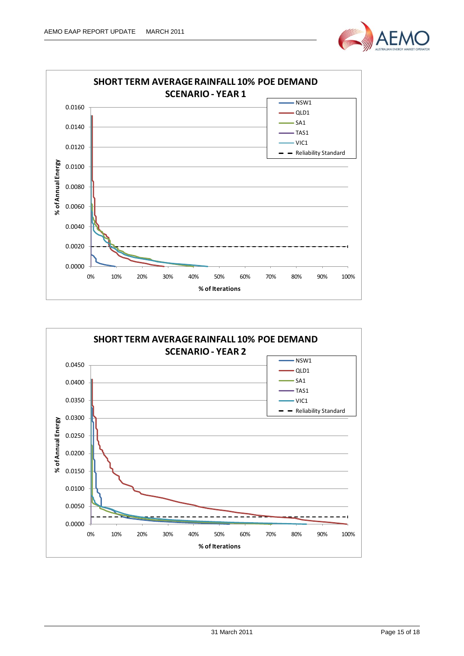



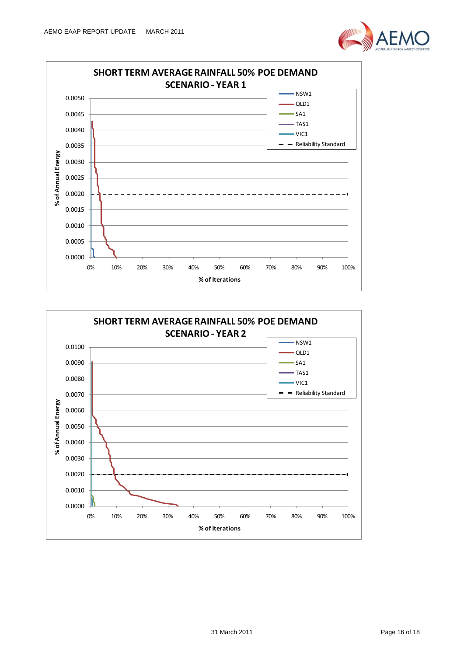



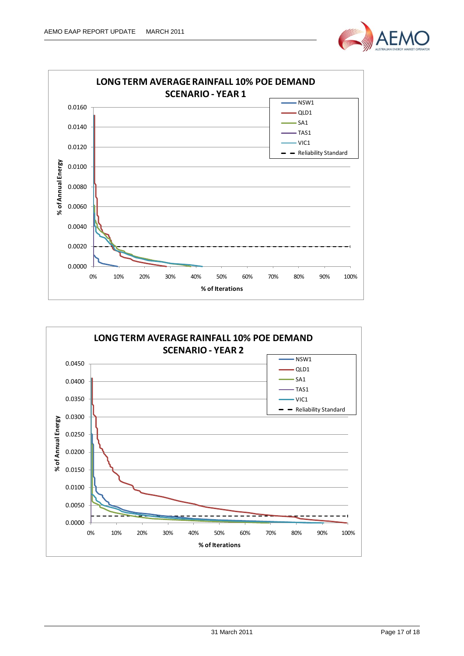